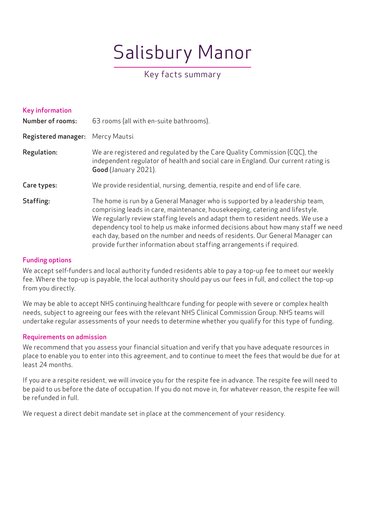# Salisbury Manor

# Key facts summary

| <b>Key information</b><br><b>Number of rooms:</b> | 63 rooms (all with en-suite bathrooms).                                                                                                                                                                                                                                                                                                                                                                                                                                                   |
|---------------------------------------------------|-------------------------------------------------------------------------------------------------------------------------------------------------------------------------------------------------------------------------------------------------------------------------------------------------------------------------------------------------------------------------------------------------------------------------------------------------------------------------------------------|
| <b>Registered manager:</b>                        | Mercy Mautsi                                                                                                                                                                                                                                                                                                                                                                                                                                                                              |
| Regulation:                                       | We are registered and regulated by the Care Quality Commission (CQC), the<br>independent regulator of health and social care in England. Our current rating is<br>Good (January 2021).                                                                                                                                                                                                                                                                                                    |
| Care types:                                       | We provide residential, nursing, dementia, respite and end of life care.                                                                                                                                                                                                                                                                                                                                                                                                                  |
| Staffing:                                         | The home is run by a General Manager who is supported by a leadership team,<br>comprising leads in care, maintenance, housekeeping, catering and lifestyle.<br>We regularly review staffing levels and adapt them to resident needs. We use a<br>dependency tool to help us make informed decisions about how many staff we need<br>each day, based on the number and needs of residents. Our General Manager can<br>provide further information about staffing arrangements if required. |

### Funding options

We accept self-funders and local authority funded residents able to pay a top-up fee to meet our weekly fee. Where the top-up is payable, the local authority should pay us our fees in full, and collect the top-up from you directly.

We may be able to accept NHS continuing healthcare funding for people with severe or complex health needs, subject to agreeing our fees with the relevant NHS Clinical Commission Group. NHS teams will undertake regular assessments of your needs to determine whether you qualify for this type of funding.

# Requirements on admission

We recommend that you assess your financial situation and verify that you have adequate resources in place to enable you to enter into this agreement, and to continue to meet the fees that would be due for at least 24 months.

If you are a respite resident, we will invoice you for the respite fee in advance. The respite fee will need to be paid to us before the date of occupation. If you do not move in, for whatever reason, the respite fee will be refunded in full.

We request a direct debit mandate set in place at the commencement of your residency.